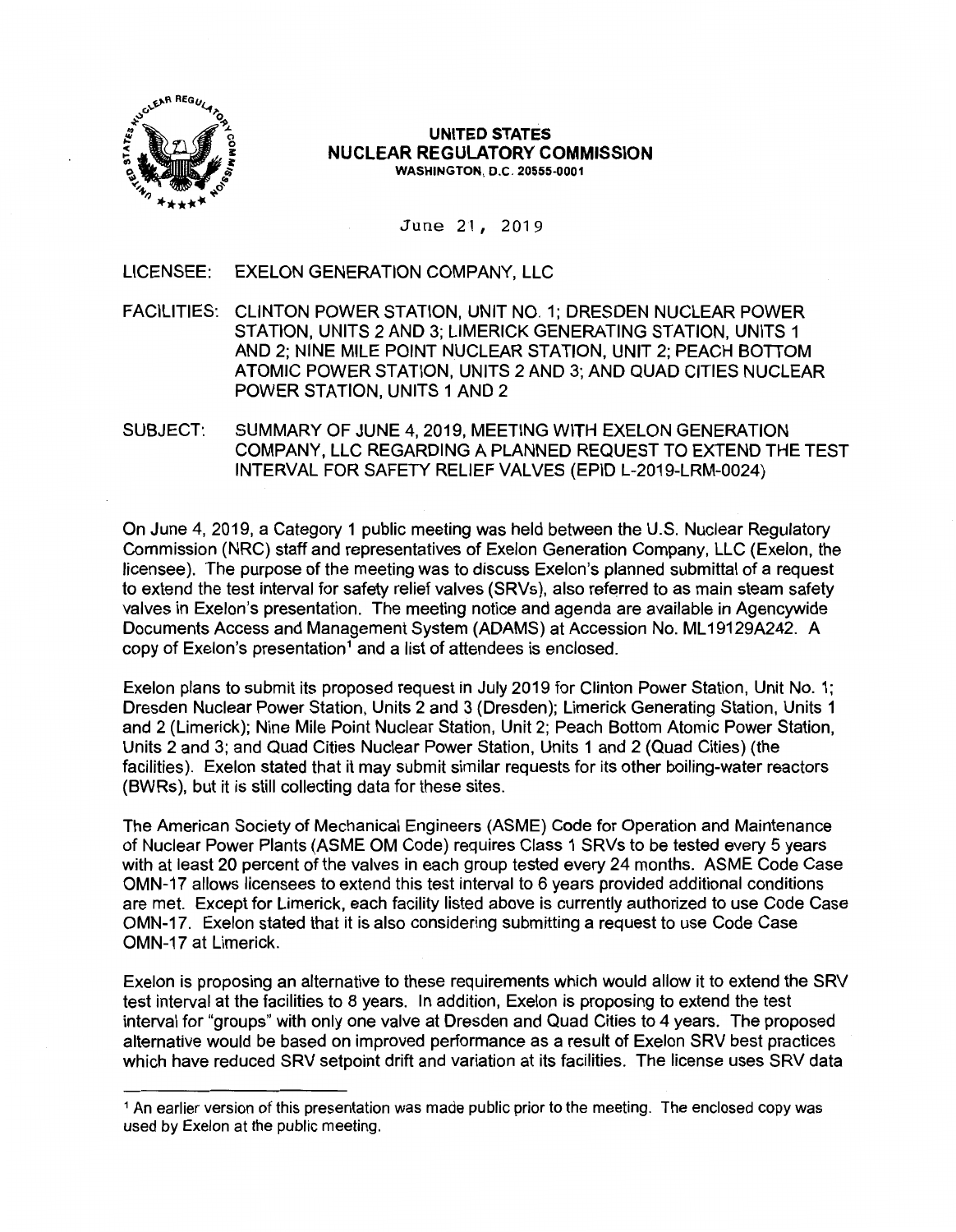

#### **UNITED STATES NUCLEAR REGULATORY COMMISSION WASHINGTON,** D.C. **20555-0001**

June 21, 2019

LICENSEE: EXELON GENERATION COMPANY, LLC

- FACILITIES: CLINTON POWER STATION, UNIT NO. 1; DRESDEN NUCLEAR POWER STATION, UNITS 2 AND 3; LIMERICK GENERATING STATION, UNITS 1 AND 2; NINE MILE POINT NUCLEAR STATION, UNIT 2; PEACH BOTIOM ATOMIC POWER STATION, UNITS 2 AND 3; AND QUAD CITIES NUCLEAR POWER STATION, UNITS 1 AND 2
- SUBJECT: SUMMARY OF JUNE 4, 2019, MEETING WITH EXELON GENERATION COMPANY, LLC REGARDING A PLANNED REQUEST TO EXTEND THE TEST INTERVAL FOR SAFETY RELIEF VALVES (EPID L-2019-LRM-0024)

On June 4, 2019, a Category 1 public meeting was held between the U.S. Nuclear Regulatory Commission (NRC) staff and representatives of Exelon Generation Company, LLC (Exelon, the licensee). The purpose of the meeting was to discuss Exelon's planned submittal of a request to extend the test interval for safety relief valves (SRVs), also referred to as main steam safety valves in Exelon's presentation. The meeting notice and agenda are available in Agencywide Documents Access and Management System (ADAMS) at Accession No. ML 19129A242. A copy of Exelon's presentation<sup>1</sup> and a list of attendees is enclosed.

Exelon plans to submit its proposed request in July 2019 for Clinton Power Station, Unit No. 1; Dresden Nuclear Power Station, Units 2 and 3 (Dresden); Limerick Generating Station, Units 1 and 2 (Limerick); Nine Mile Point Nuclear Station, Unit 2; Peach Bottom Atomic Power Station, Units 2 and 3; and Quad Cities Nuclear Power Station, Units 1 and 2 (Quad Cities) (the facilities). Exelon stated that it may submit similar requests for its other boiling-water reactors (BWRs), but it is still collecting data for these sites.

The American Society of Mechanical Engineers (ASME) Code for Operation and Maintenance of Nuclear Power Plants (ASME OM Code) requires Class 1 SRVs to be tested every 5 years with at least 20 percent of the valves in each group tested every 24 months. ASME Code Case OMN-17 allows licensees to extend this test interval to 6 years provided additional conditions are met. Except for Limerick, each facility listed above is currently authorized to use Code Case OMN-17. Exelon stated that it is also considering submitting a request to use Code Case OMN-17 at Limerick.

Exelon is proposing an alternative to these requirements which would allow it to extend the SRV test interval at the facilities to 8 years. In addition, Exelon is proposing to extend the test interval for "groups" with only one valve at Dresden and Quad Cities to 4 years. The proposed alternative would be based on improved performance as a result of Exelon SRV best practices which have reduced SRV setpoint drift and variation at its facilities. The license uses SRV data

<sup>&</sup>lt;sup>1</sup> An earlier version of this presentation was made public prior to the meeting. The enclosed copy was used by Exelon at the public meeting.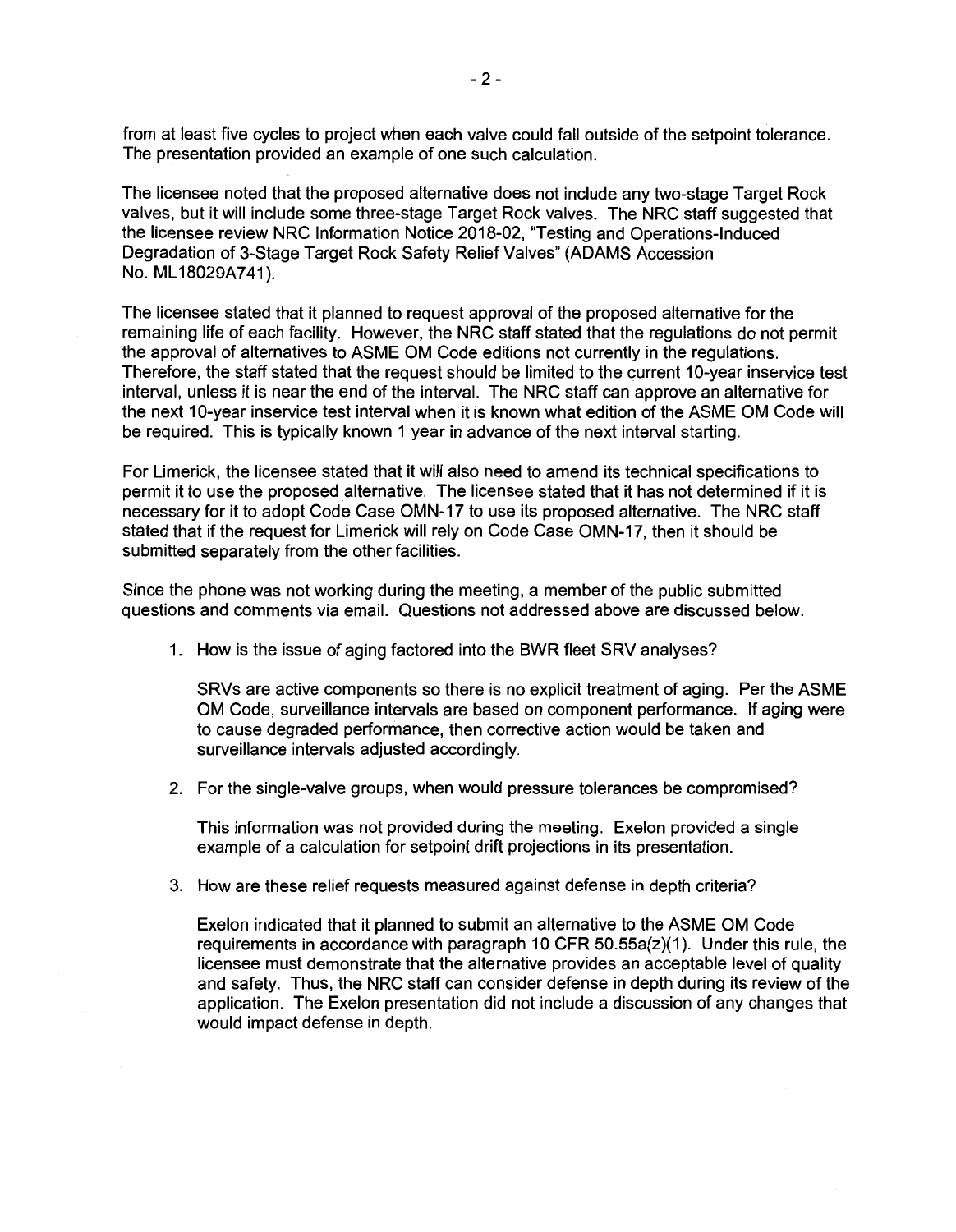from at least five cycles to project when each valve could fall outside of the setpoint tolerance. The presentation provided an example of one such calculation.

The licensee noted that the proposed alternative does not include any two-stage Target Rock valves, but it will include some three-stage Target Rock valves. The NRC staff suggested that the licensee review NRC Information Notice 2018-02, "Testing and Operations-Induced Degradation of 3-Stage Target Rock Safety Relief Valves" (ADAMS Accession No. ML 18029A741).

The licensee stated that it planned to request approval of the proposed alternative for the remaining life of each facility. However, the NRC staff stated that the regulations do not permit the approval of alternatives to ASME OM Code editions not currently in the regulations. Therefore, the staff stated that the request should be limited to the current 10-year inservice test interval, unless it is near the end of the interval. The NRC staff can approve an alternative for the next 10-year inservice test interval when it is known what edition of the ASME OM Code will be required. This is typically known 1 year in advance of the next interval starting.

For Limerick, the licensee stated that it will also need to amend its technical specifications to permit it to use the proposed alternative. The licensee stated that it has not determined if it is necessary for it to adopt Code Case OMN-17 to use its proposed alternative. The NRC staff stated that if the request for Limerick will rely on Code Case OMN-17, then it should be submitted separately from the other facilities.

Since the phone was not working during the meeting, a member of the public submitted questions and comments via email. Questions not addressed above are discussed below.

1. How is the issue of aging factored into the BWR fleet SRV analyses?

SRVs are active components so there is no explicit treatment of aging. Per the ASME OM Code, surveillance intervals are based on component performance. If aging were to cause degraded performance, then corrective action would be taken and surveillance intervals adjusted accordingly.

2. For the single-valve groups, when would pressure tolerances be compromised?

This information was not provided during the meeting. Exelon provided a single example of a calculation for setpoint drift projections in its presentation.

3. How are these relief requests measured against defense in depth criteria?

Exelon indicated that it planned to submit an alternative to the ASME OM Code requirements in accordance with paragraph 10 CFR  $50.55a(z)(1)$ . Under this rule, the licensee must demonstrate that the alternative provides an acceptable level of quality and safety. Thus, the NRC staff can consider defense in depth during its review of the application. The Exelon presentation did not include a discussion of any changes that would impact defense in depth.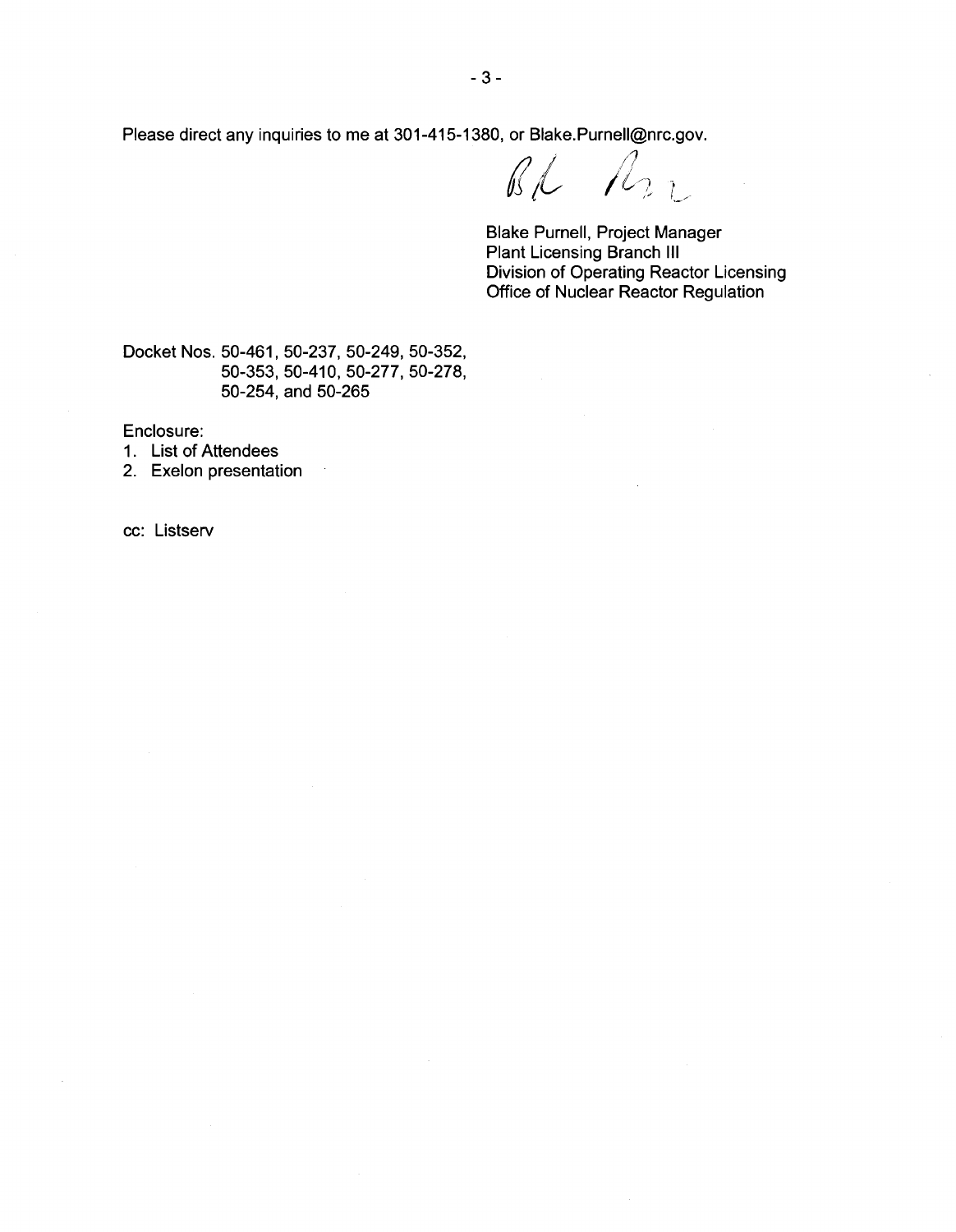Please direct any inquiries to me at 301-415-1380, or Blake.Purnell@nrc.gov.<br>
and the same of the set of the set of the set of the set of the set of the set of the set of the set of the set of the set of the set of the se

fl *l* <sup>j</sup>*IA* / l/) - ,,, *L/* 

Blake Purnell, Project Manager Plant Licensing Branch Ill Division of Operating Reactor Licensing Office of Nuclear Reactor Regulation

Docket Nos. 50-461, 50-237, 50-249, 50-352, 50-353, 50-410, 50-277, 50-278, 50-254, and 50-265

 $\bar{\phantom{a}}$ 

Enclosure:

- 1. List of Attendees
- 2. Exelon presentation

cc: Listserv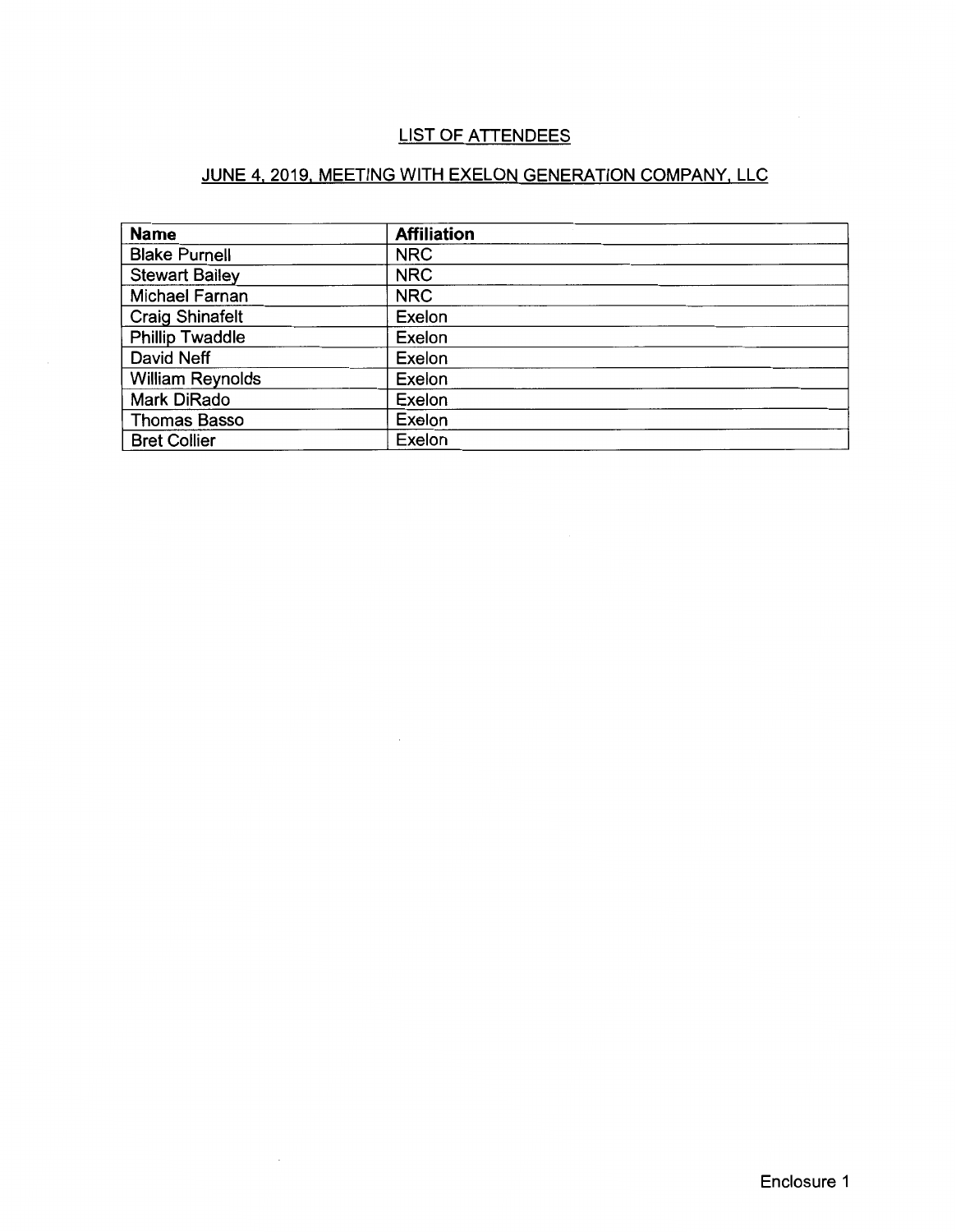#### LIST OF ATTENDEES

#### JUNE 4, 2019, MEETING WITH EXELON GENERATION COMPANY, LLC

| <b>Name</b>             | <b>Affiliation</b> |
|-------------------------|--------------------|
| <b>Blake Purnell</b>    | <b>NRC</b>         |
| <b>Stewart Bailey</b>   | <b>NRC</b>         |
| Michael Farnan          | <b>NRC</b>         |
| <b>Craig Shinafelt</b>  | Exelon             |
| <b>Phillip Twaddle</b>  | Exelon             |
| David Neff              | Exelon             |
| <b>William Reynolds</b> | Exelon             |
| Mark DiRado             | Exelon             |
| <b>Thomas Basso</b>     | Exelon             |
| <b>Bret Collier</b>     | Exelon             |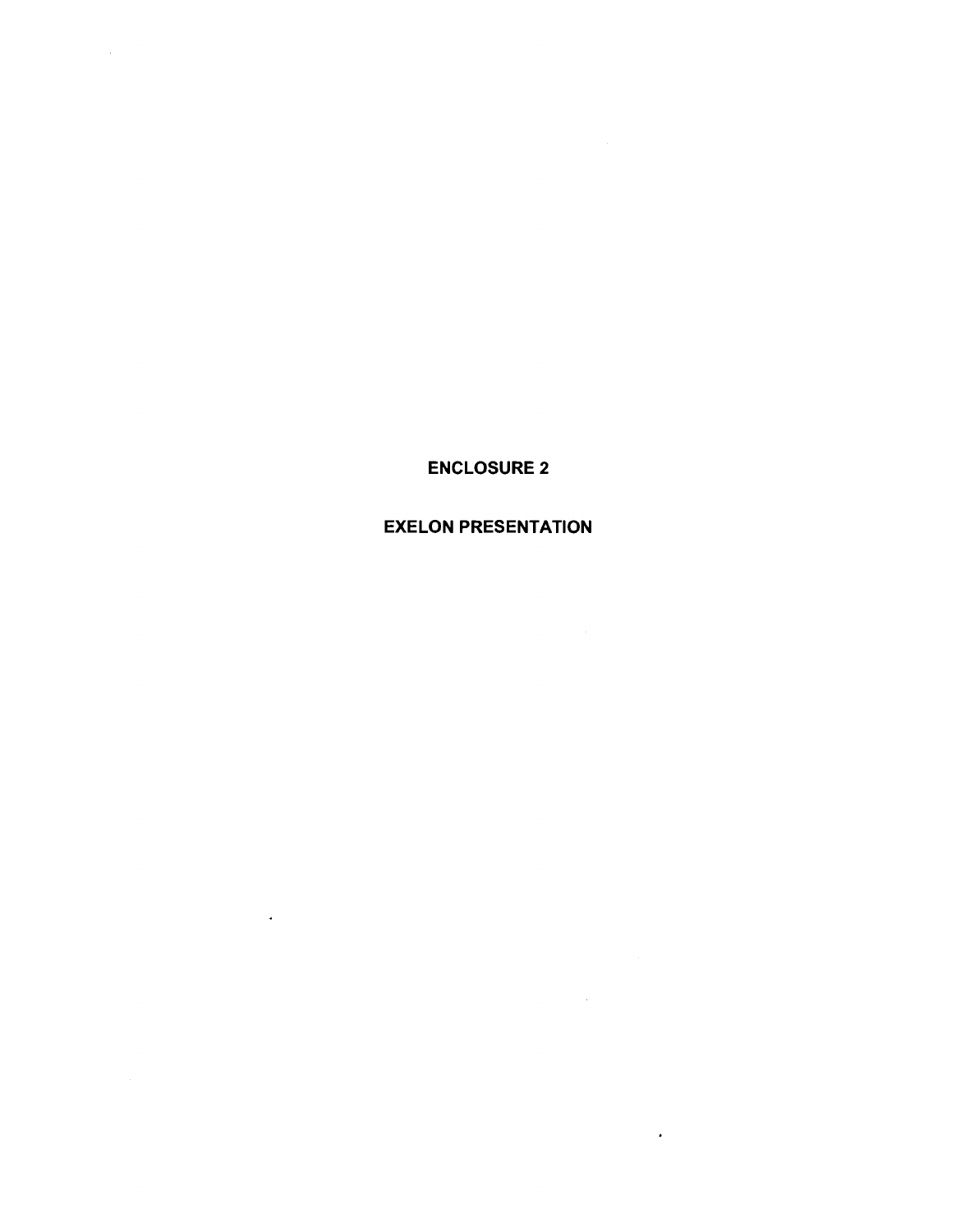ENCLOSURE 2

 $\sim$ 

#### EXELON PRESENTATION

 $\sim 10^{-11}$ 

 $\mathbf{z}^{\prime}$ 

 $\sim$   $\star$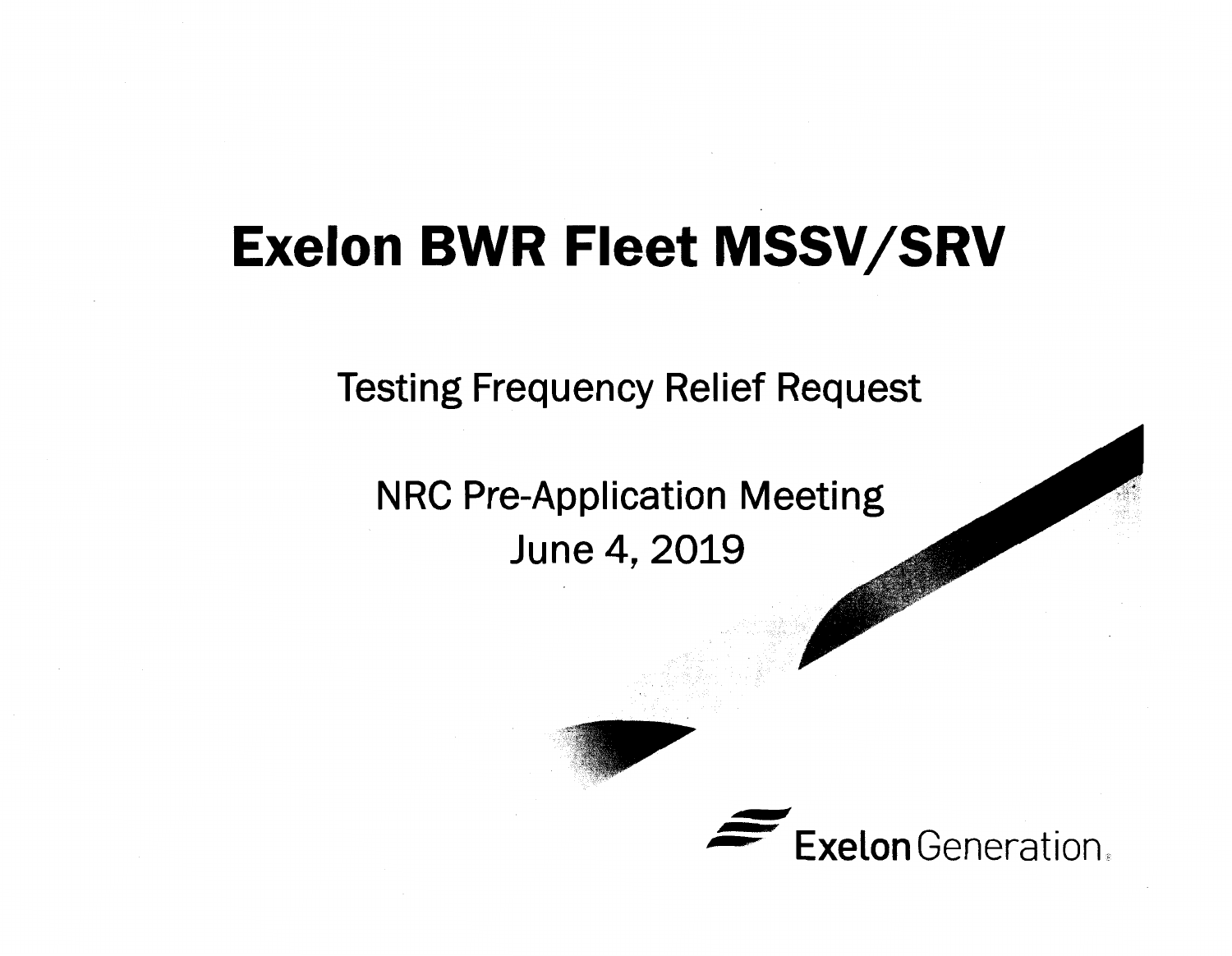# **Exelon BWR Fleet MSSV/SRV**

Testing Frequency Relief Request

NRC Pre-Application Meeting June 4, 2019

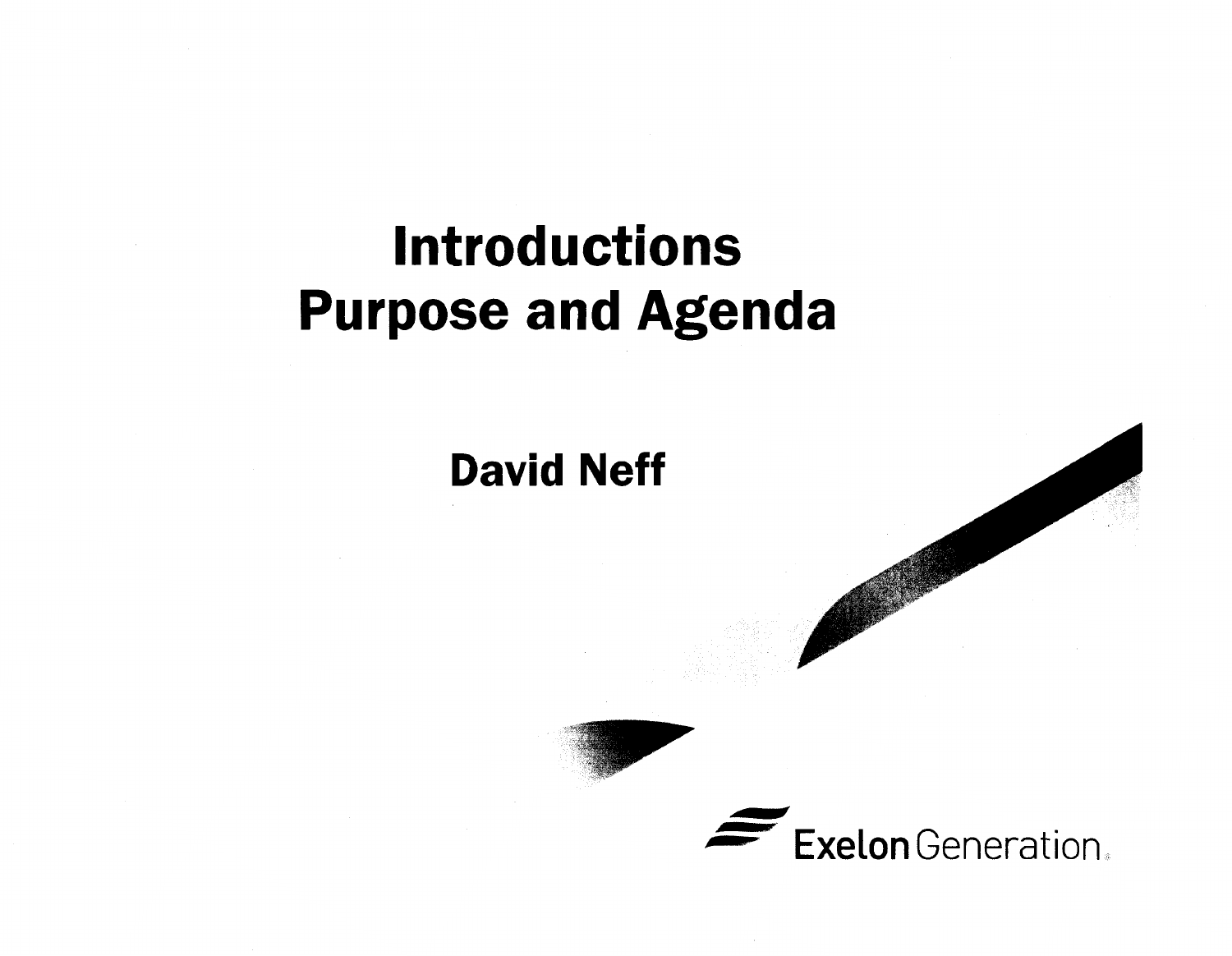# **Introductions Purpose and Agenda**

**David Neff** 

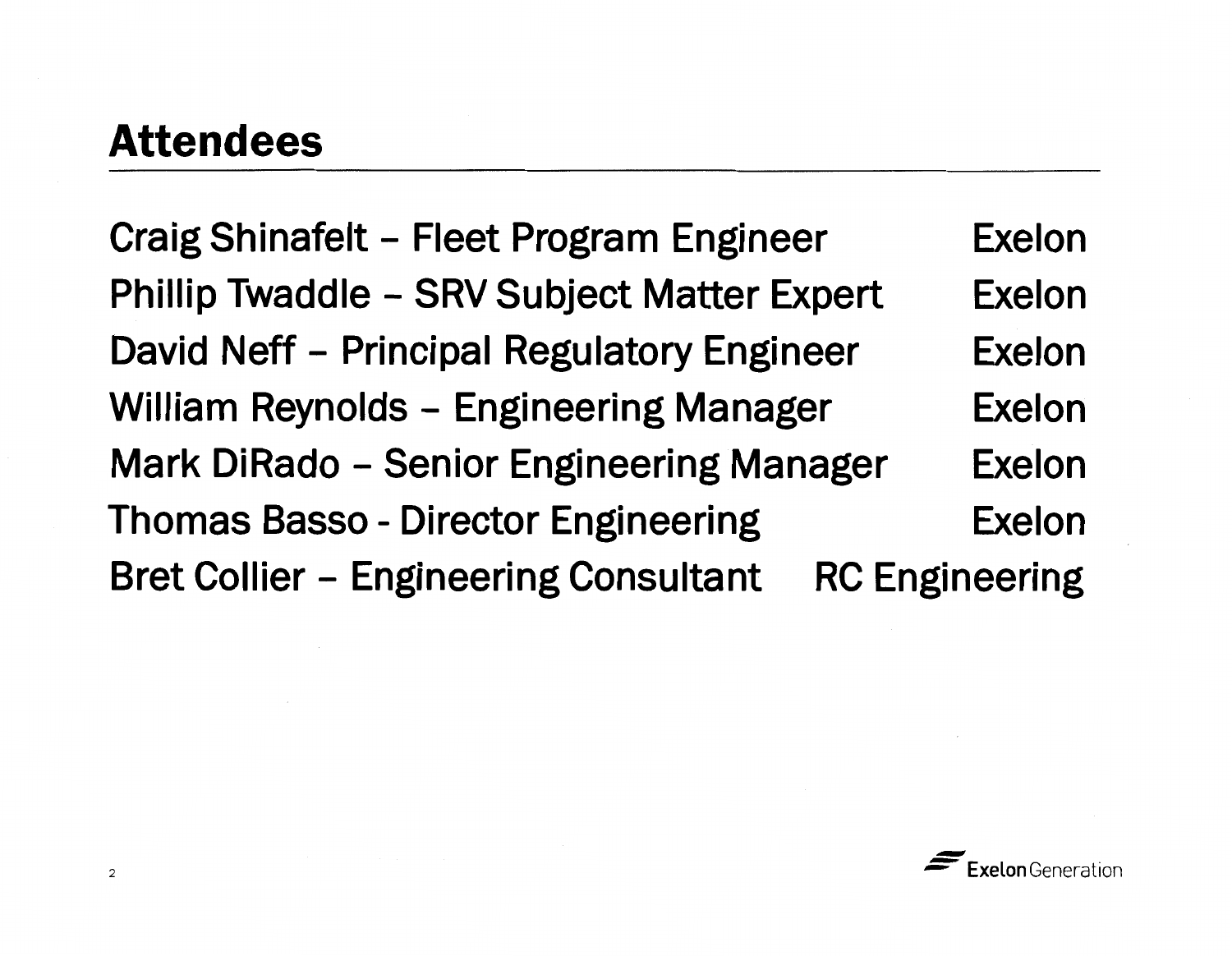### **Attendees**

Craig Shinafelt - Fleet Program Engineer Phillip Twaddle - SRV Subject Matter Expert David Neff - Principal Regulatory Engineer William Reynolds - Engineering Manager Mark DiRado - Senior Engineering Manager Exelon Exelon Exelon Exelon Exelon Thomas Basso - Director Engineering Bret Collier - Engineering Consultant Exelon RC Engineering

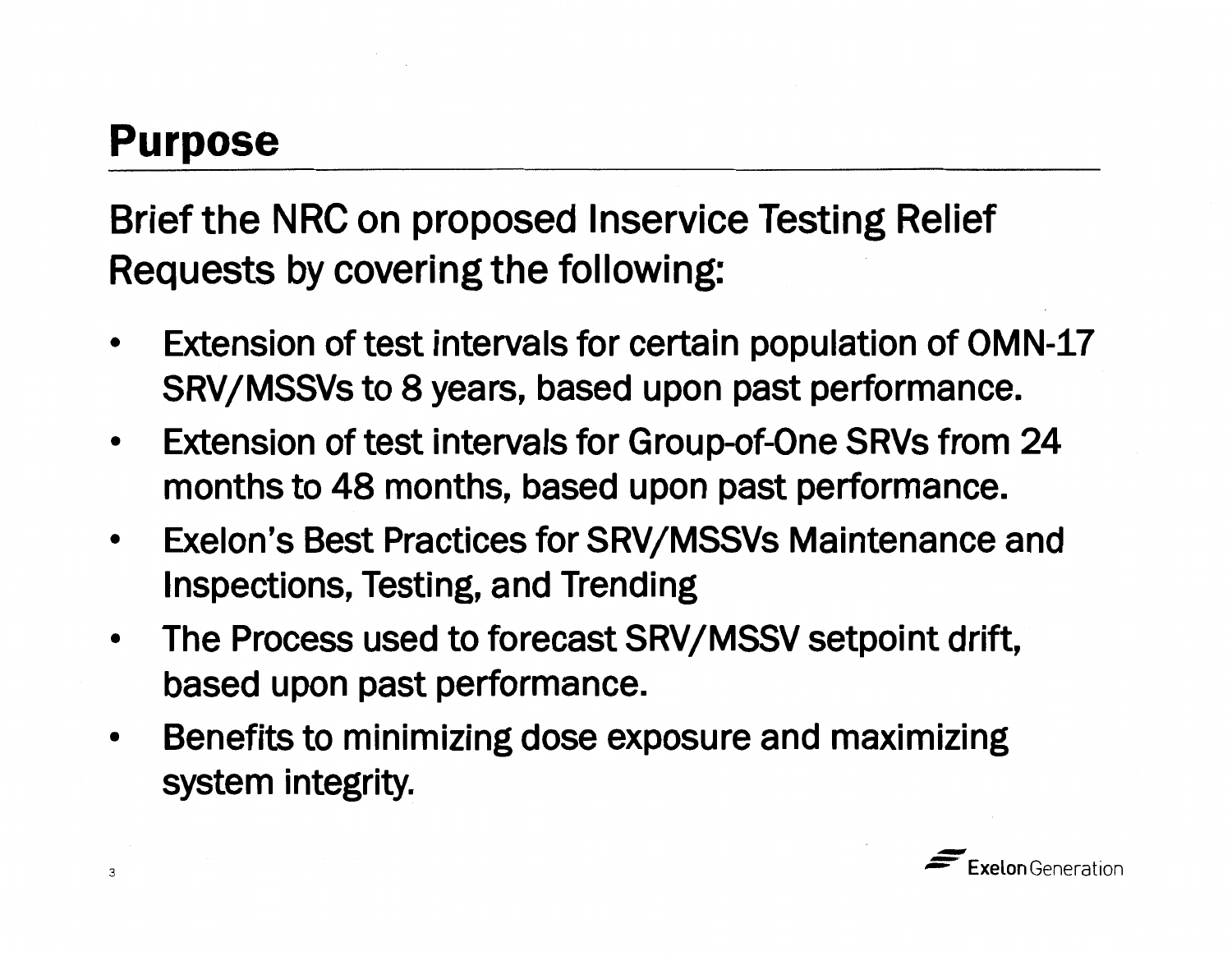## **Purpose**

Brief the NRC on proposed lnservice Testing Relief Requests by covering the following:

- Extension of test intervals for certain population of OMN-17 SRV/MSSVs to 8 years, based upon past performance.
- Extension of test intervals for Group-of-One SRVs from 24 months to 48 months, based upon past performance.
- Exelon's Best Practices for SRV/MSSVs Maintenance and Inspections, Testing, and Trending
- The Process used to forecast **SRV/MSSV** setpoint drift, based upon past performance.
- Benefits to minimizing dose exposure and maximizing system integrity.

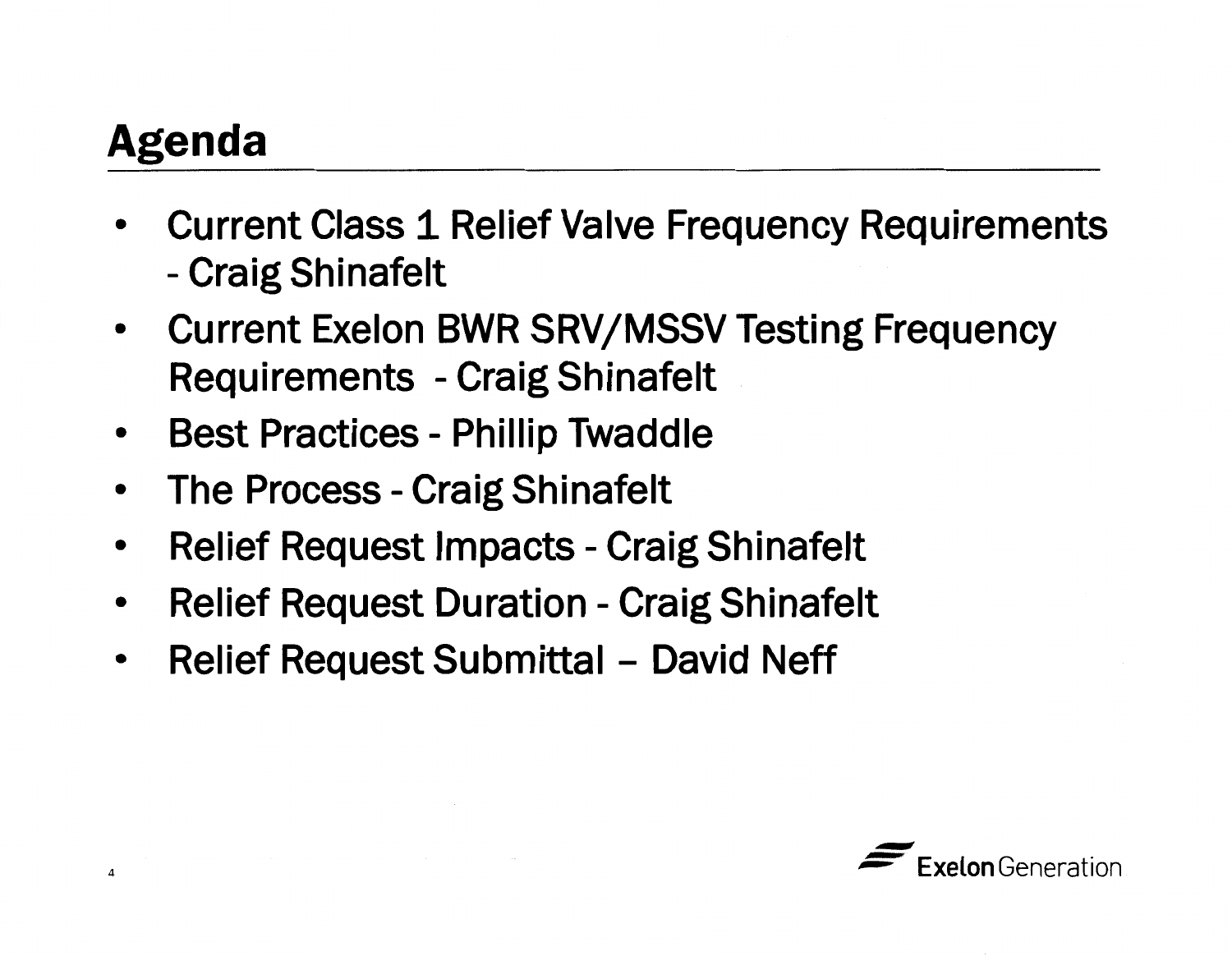## **Agenda**

4

- Current Class 1 Relief Valve Frequency Requirements -- Craig Shinafelt
- Current Exelon BWR SRV/MSSV Testing Frequency Requirements - Craig Shinafelt
- Best Practices Phillip Twaddle
- The Process Craig Shinafelt
- Relief Request Impacts Craig Shinafelt
- Relief Request Duration Craig Shinafelt
- Relief Request Submittal David Neff

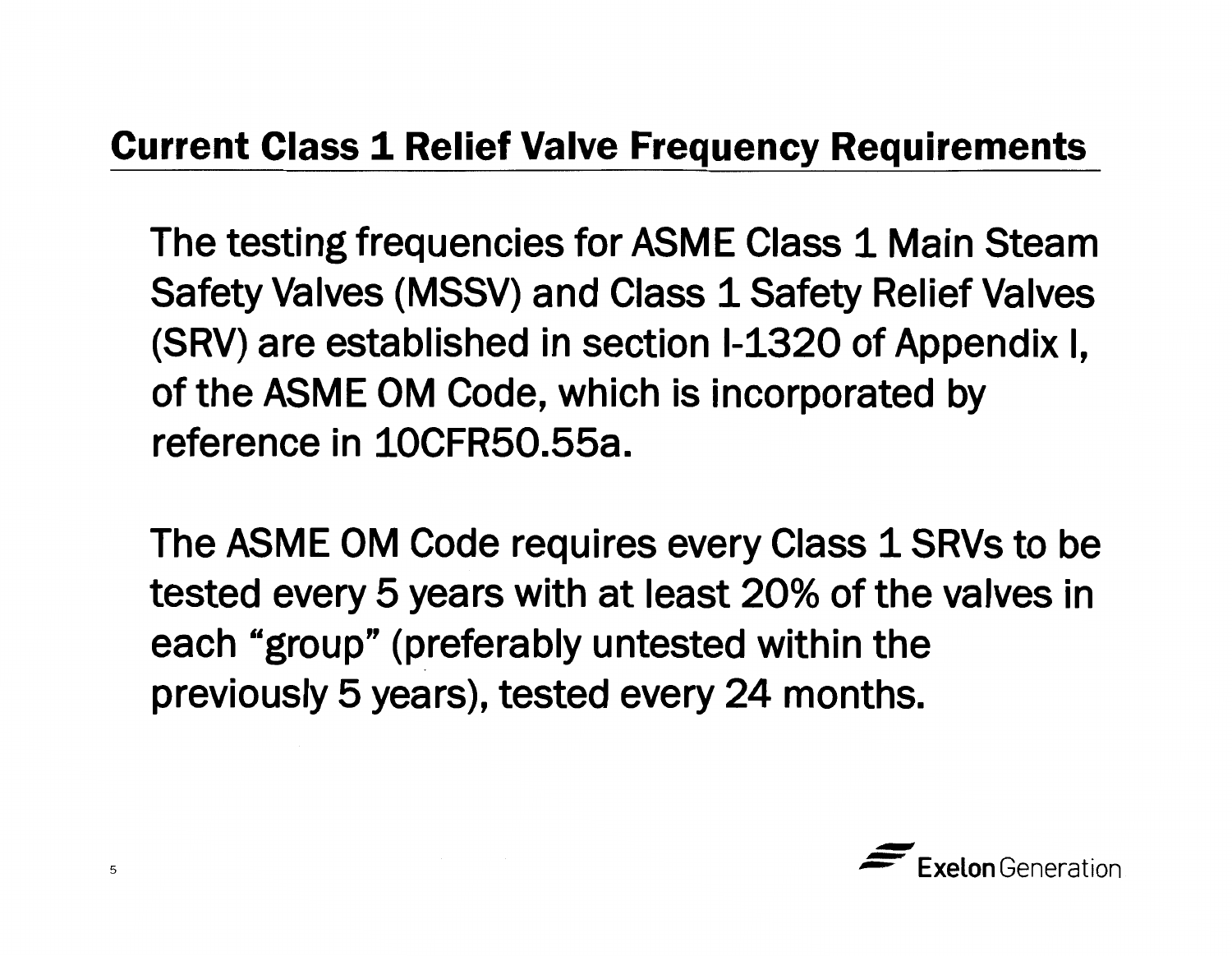#### **Current Class 1 Relief Valve Frequency Requirements**

The testing frequencies for ASME Class 1 Main Steam Safety Valves (MSSV) and Class 1 Safety Relief Valves (SRV) are established in section 1-1320 of Appendix I, of the ASME OM Code, which is incorporated by reference in 10CFR50.55a.

The ASME OM Code requires every Class 1 SRVs to be tested every 5 years with at least 20% of the valves in each "group" (preferably untested within the previously 5 years), tested every 24 months.

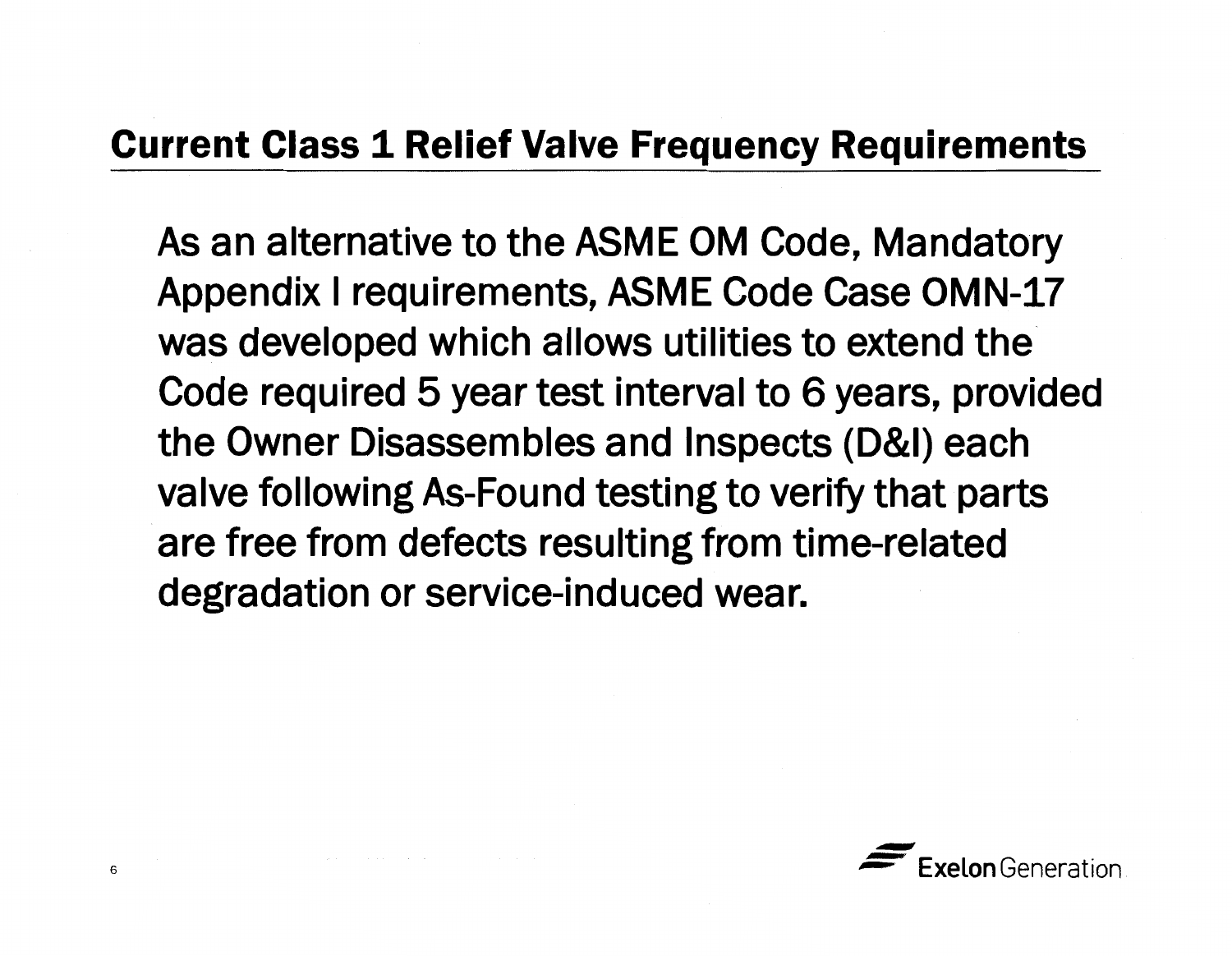#### **Current Class 1 Relief Valve Frequency Requirements**

As an alternative to the ASME OM Code, Mandatory Appendix I requirements, ASME Code Case OMN-17 was developed which allows utilities to extend the Code required 5 year test interval to 6 years, provided the Owner Disassembles and Inspects (D&I) each valve following As-Found testing to verify that parts are free from defects resulting from time-related degradation or service-induced wear.

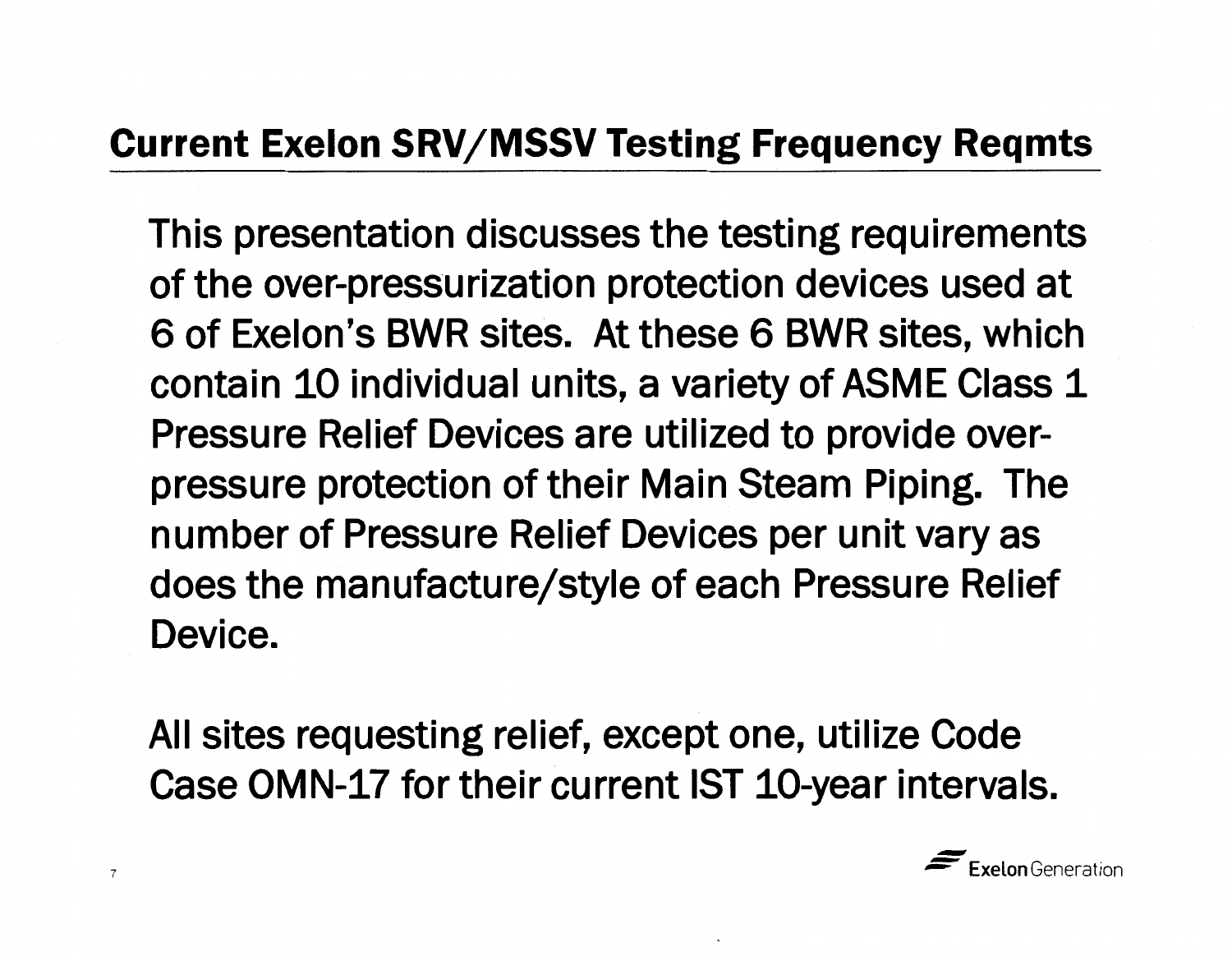#### **Current Exelon SRV/MSSV Testing Frequency Reqmts**

This presentation discusses the testing requirements of the over-pressurization protection devices used at 6 of Exelon's BWR sites. At these 6 BWR sites, which contain 10 individual units, a variety of ASME Class 1 Pressure Relief Devices are utilized to provide overpressure protection of their Main Steam Piping. The number of Pressure Relief Devices per unit vary as does the manufacture/style of each Pressure Relief Device.

All sites requesting relief, except one, utilize Code Case OMN-17 for their current 1ST 10-year intervals.

7

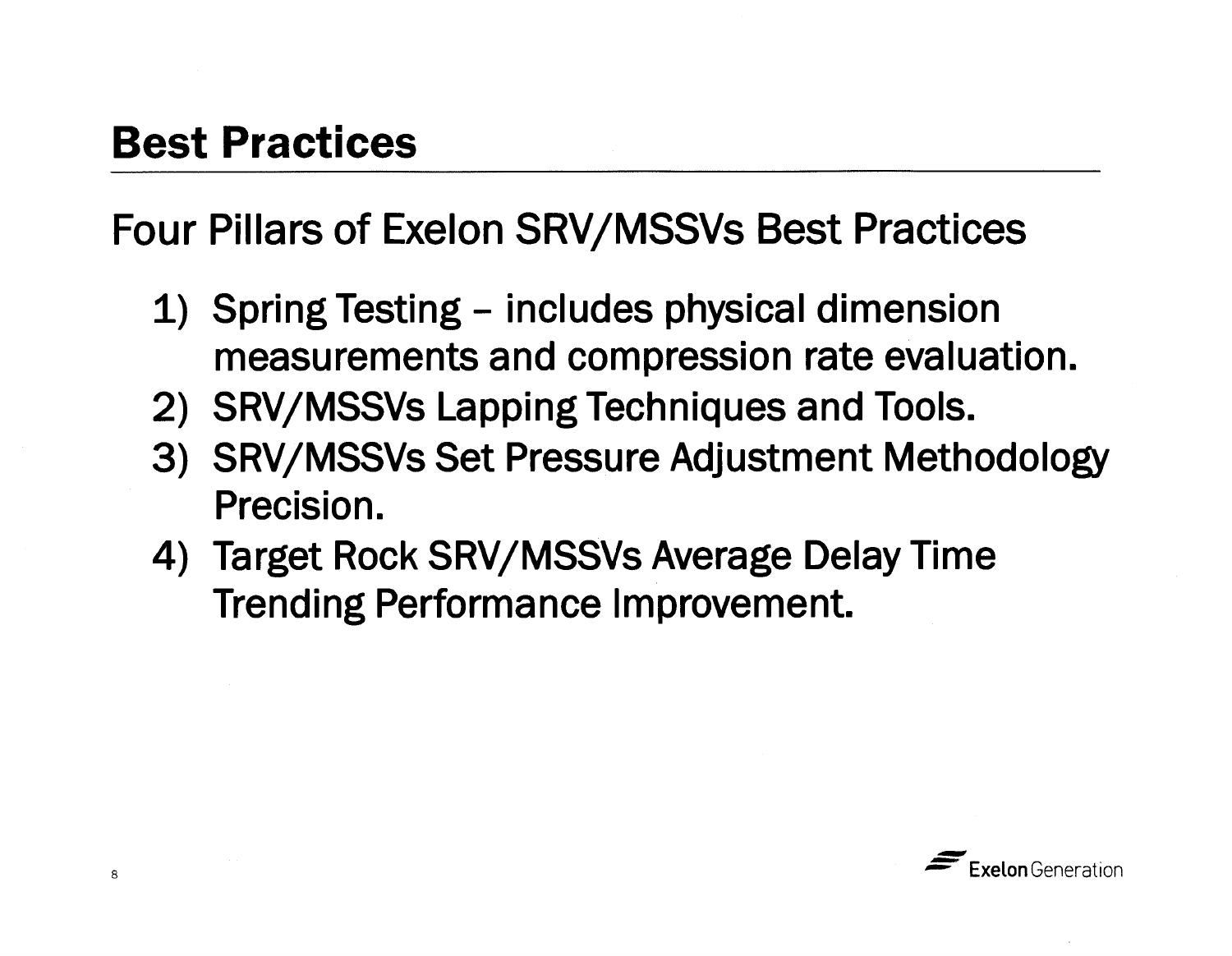### **Best Practices**

Four Pillars of Exelon SRV/MSSVs Best Practices

- 1) Spring Testing includes physical dimension measurements and compression rate evaluation.
- 2) SRV/MSSVs Lapping Techniques and Tools.
- 3) SRV/MSSVs Set Pressure Adjustment Methodology Precision.
- 4) Target Rock SRV/MSSVs Average Delay Time Trending Performance Improvement.

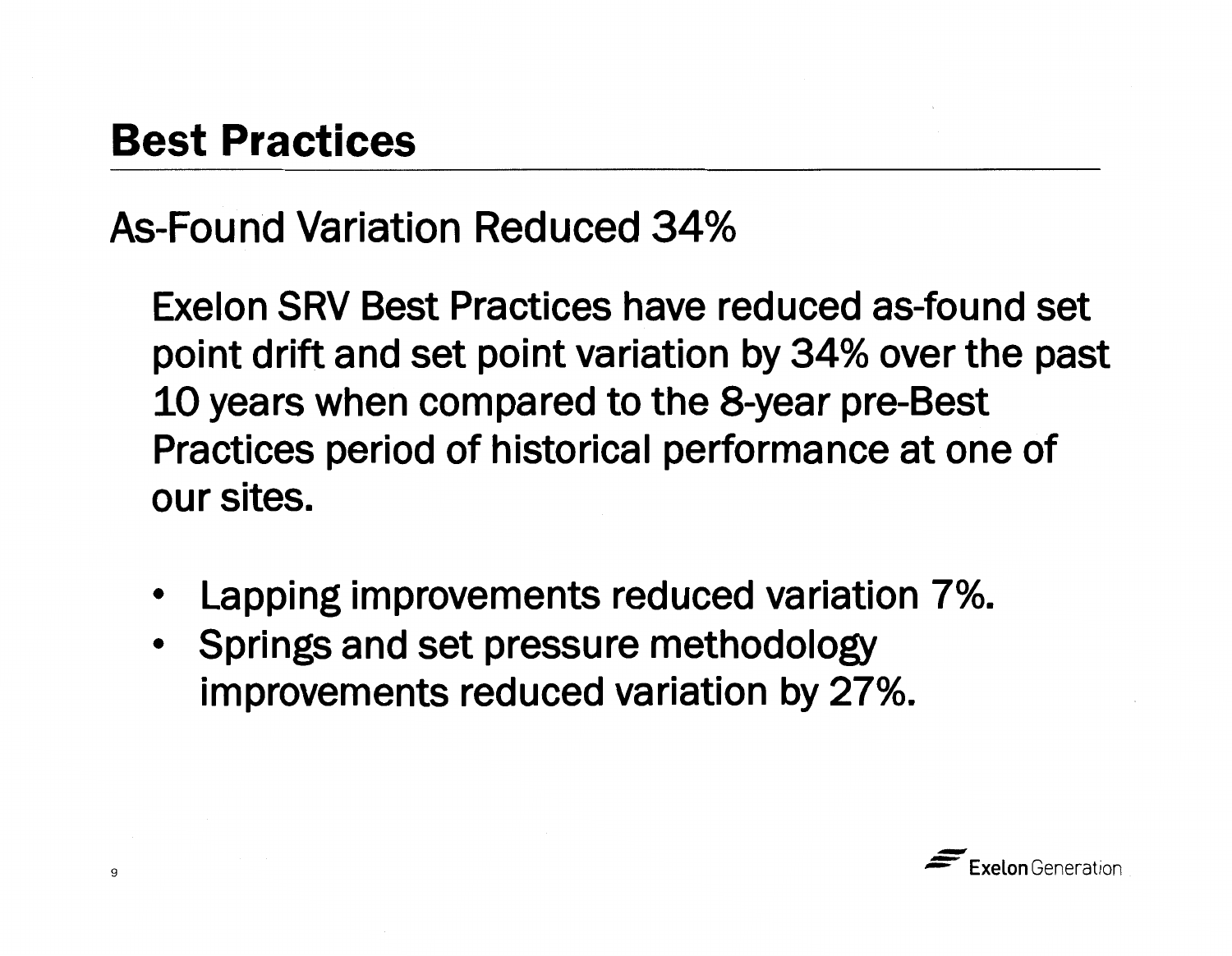### **Best Practices**

As-Found Variation Reduced 34%

Exelon SRV Best Practices have reduced as-found set point drift and set point variation by 34% over the past 10 years when compared to the 8-year pre-Best Practices period of historical performance at one of our sites.

- Lapping improvements reduced variation 7%.
- Springs and set pressure methodology improvements reduced variation by 27%.

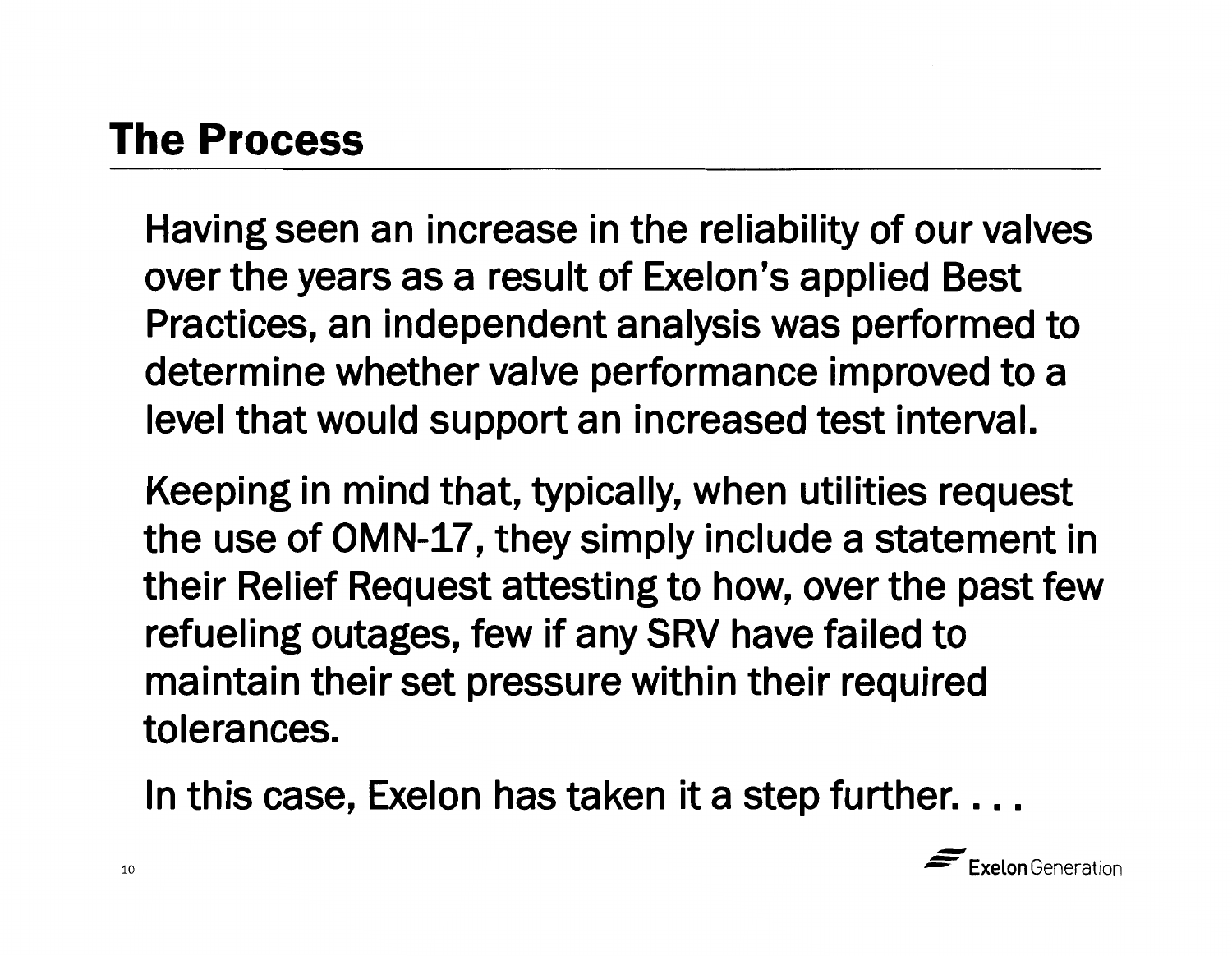Having seen an increase in the reliability of our valves over the years as a result of Exelon's applied Best Practices, an independent analysis was performed to determine whether valve performance improved to a level that would support an increased test interval.

Keeping in mind that, typically, when utilities request the use of OMN-17, they simply include a statement in their Relief Request attesting to how, over the past few refueling outages, few if any SRV have failed to maintain their set pressure within their required tolerances.

In this case, Exelon has taken it a step further....

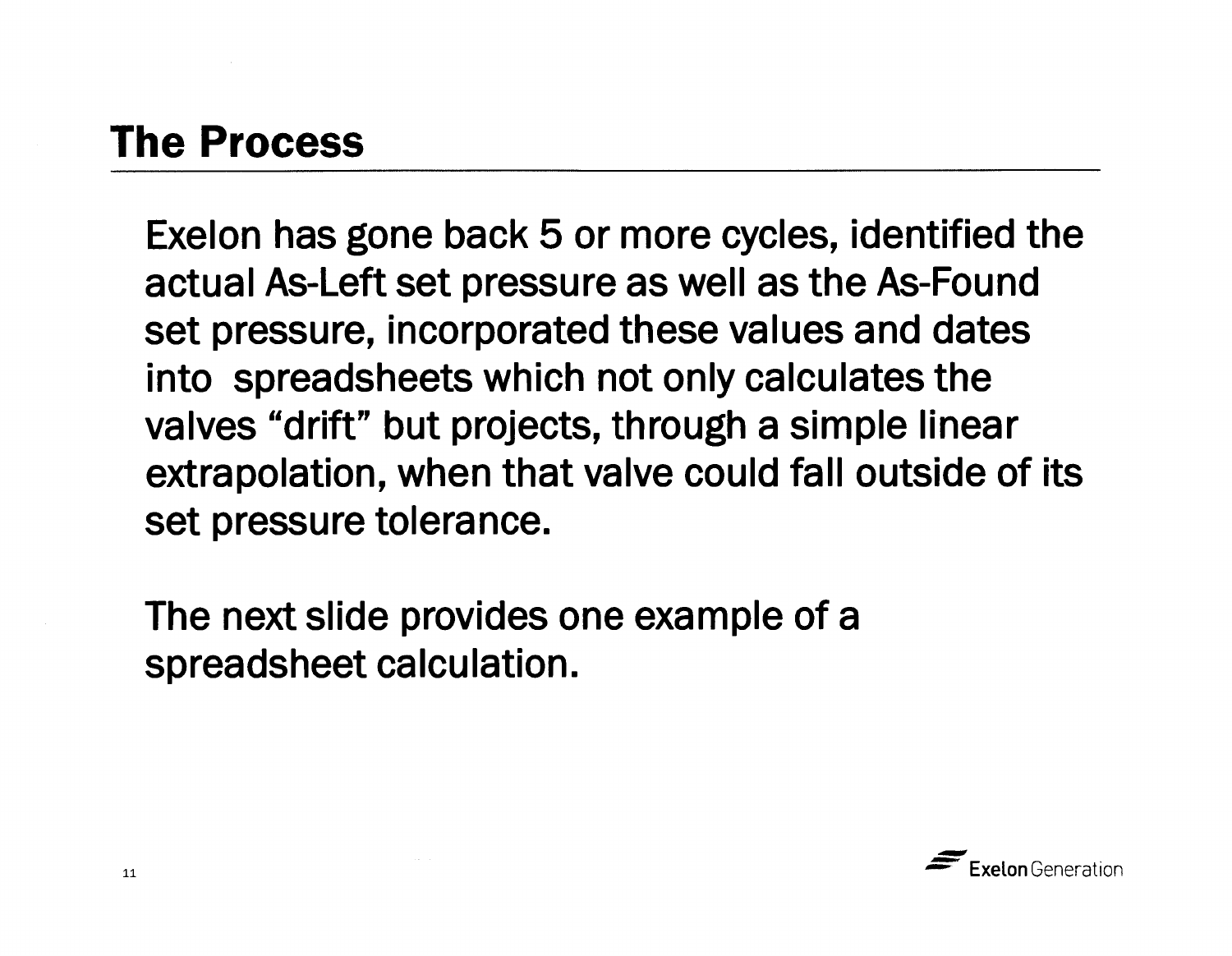Exelon has gone back 5 or more cycles, identified the actual As-Left set pressure as well as the As-Found set pressure, incorporated these values and dates into spreadsheets which not only calculates the valves "drift" but projects, through a simple linear extrapolation, when that valve could fall outside of its set pressure tolerance.

The next slide provides one example of a spreadsheet calculation.

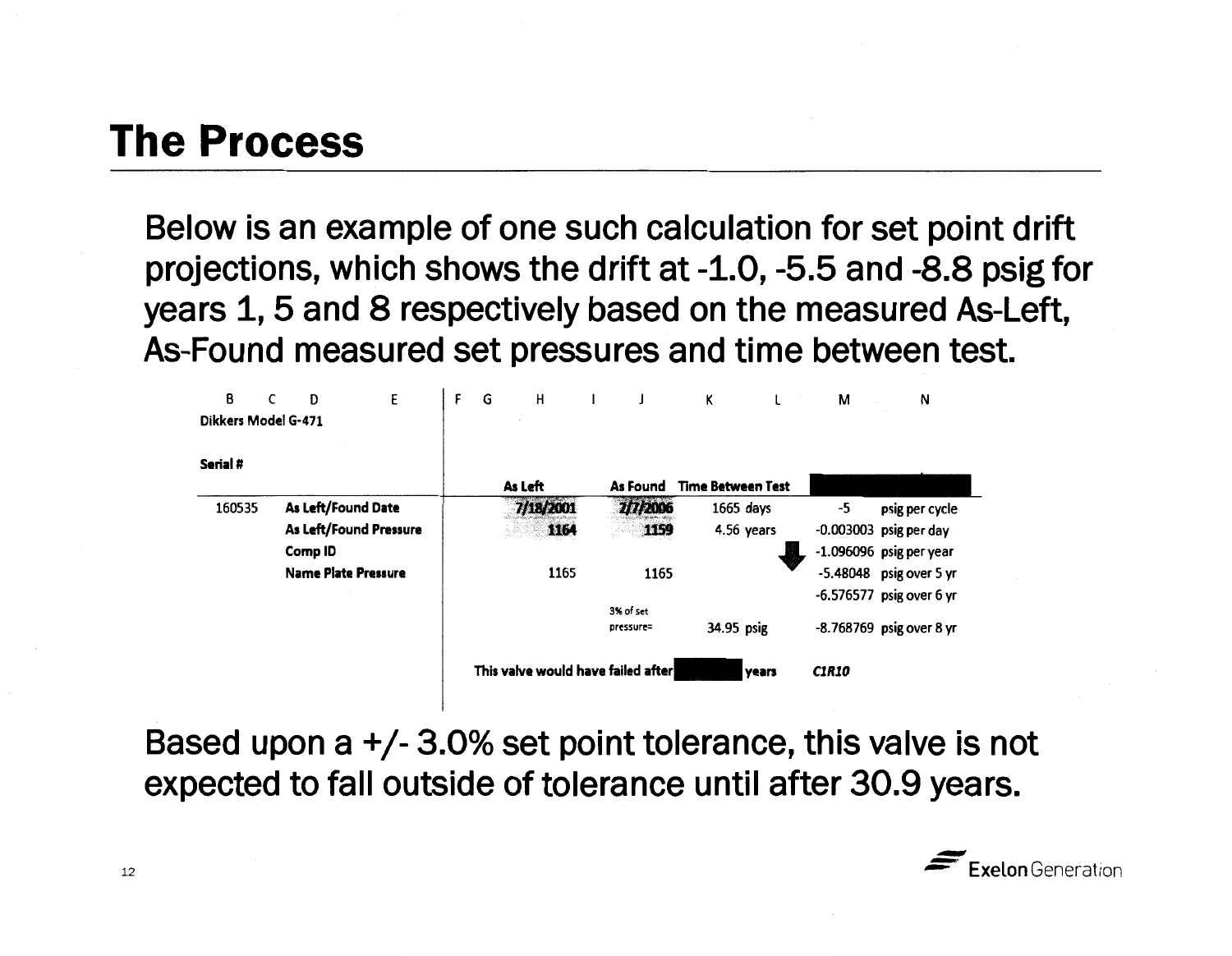**Below is an example of one such calculation for set point drift projections, which shows the drift at-1.0, -5.5 and -8.8 psig for years 1, 5 and 8 respectively based on the measured As-Left, As-Found measured set pressures and time between test.** 

| B                   | C | Ð                          | E | F | G | н                                  |                        | Κ                        |            | М            | Ν                          |
|---------------------|---|----------------------------|---|---|---|------------------------------------|------------------------|--------------------------|------------|--------------|----------------------------|
| Dikkers Model G-471 |   |                            |   |   |   |                                    |                        |                          |            |              |                            |
| Serial #            |   |                            |   |   |   |                                    |                        |                          |            |              |                            |
|                     |   |                            |   |   |   | As Left                            | As Found               | <b>Time Between Test</b> |            |              |                            |
| 160535              |   | As Left/Found Date         |   |   |   | 7/18/2001                          | 2/7/2006               | $1665$ days              |            | -5           | psig per cycle             |
|                     |   | As Left/Found Pressure     |   |   |   | 1164                               | 1159                   |                          | 4.56 years |              | $-0.003003$ psig per day   |
|                     |   | Comp ID                    |   |   |   |                                    |                        |                          |            |              | $-1.096096$ psig per year  |
|                     |   | <b>Name Plate Pressure</b> |   |   |   | 1165                               | 1165                   |                          |            |              | $-5.48048$ psig over 5 yr  |
|                     |   |                            |   |   |   |                                    |                        |                          |            |              | $-6.576577$ psig over 6 yr |
|                     |   |                            |   |   |   |                                    | 3% of set<br>pressure= | 34.95 psig               |            |              | -8.768769 psig over 8 yr   |
|                     |   |                            |   |   |   | This valve would have failed after |                        |                          | years      | <b>C1R10</b> |                            |

**Based upon a** +/- **3.0% set point tolerance, this valve is not expected to fall outside of tolerance until after 30.9 years.**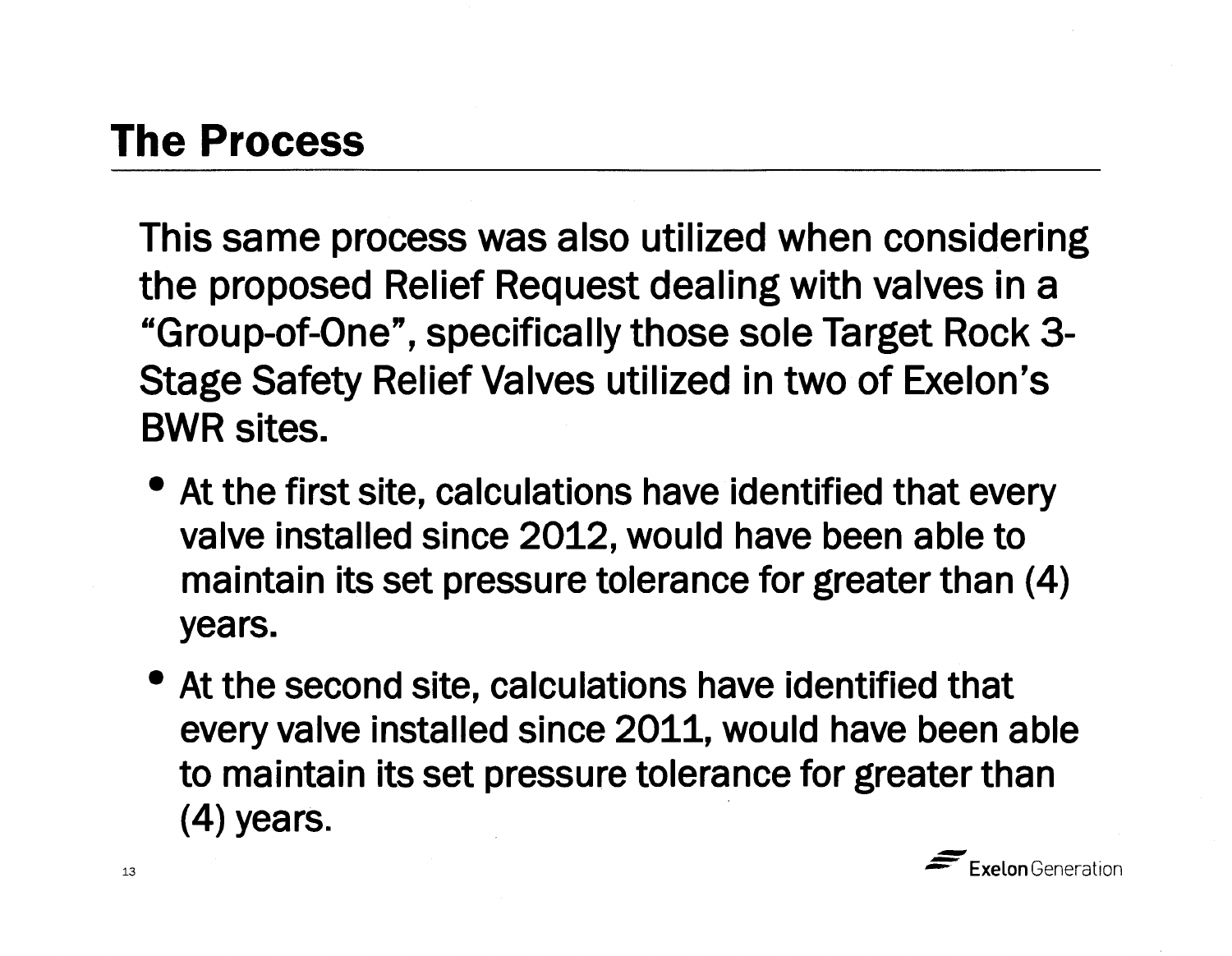This same process was also utilized when considering the proposed Relief Request dealing with valves in a "Group-of-One", specifically those sole Target Rock 3- Stage Safety Relief Valves utilized in two of Exelon's BWR sites.

- At the first site, calculations have identified that every valve installed since 2012, would have been able to maintain its set pressure tolerance for greater than (4) years.
- At the second site, calculations have identified that every valve installed since 2011, would have been able to maintain its set pressure tolerance for greater than (4) years.

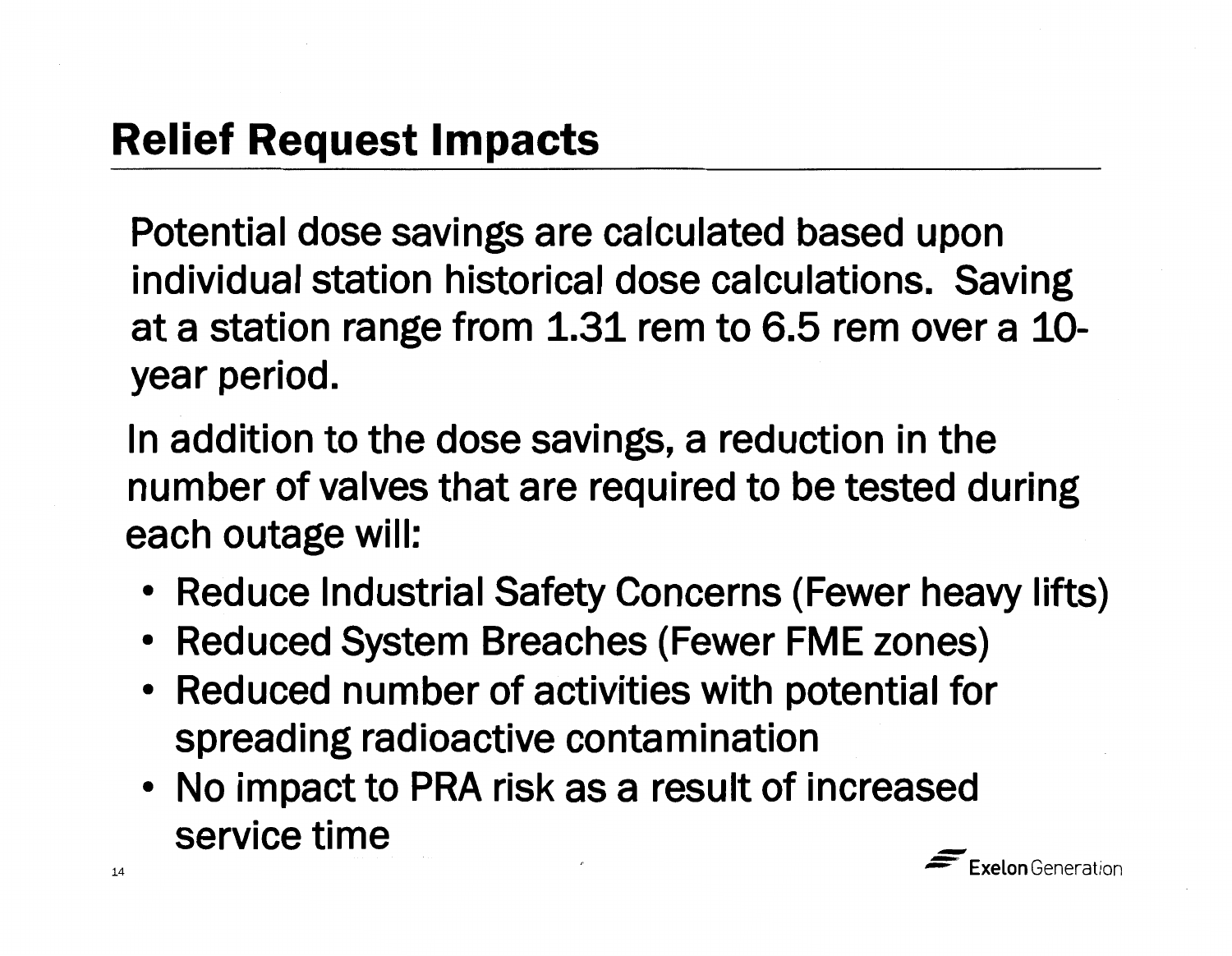Potential dose savings are calculated based upon individual station historical dose calculations. Saving at a station range from 1.31 rem to 6.5 rem over a 10 year period.

In addition to the dose savings, a reduction in the number of valves that are required to be tested during each outage will:

- Reduce Industrial Safety Concerns (Fewer heavy lifts)
- Reduced System Breaches (Fewer FME zones)
- Reduced number of activities with potential for spreading radioactive contamination
- No impact to PRA risk as a result of increased service time -

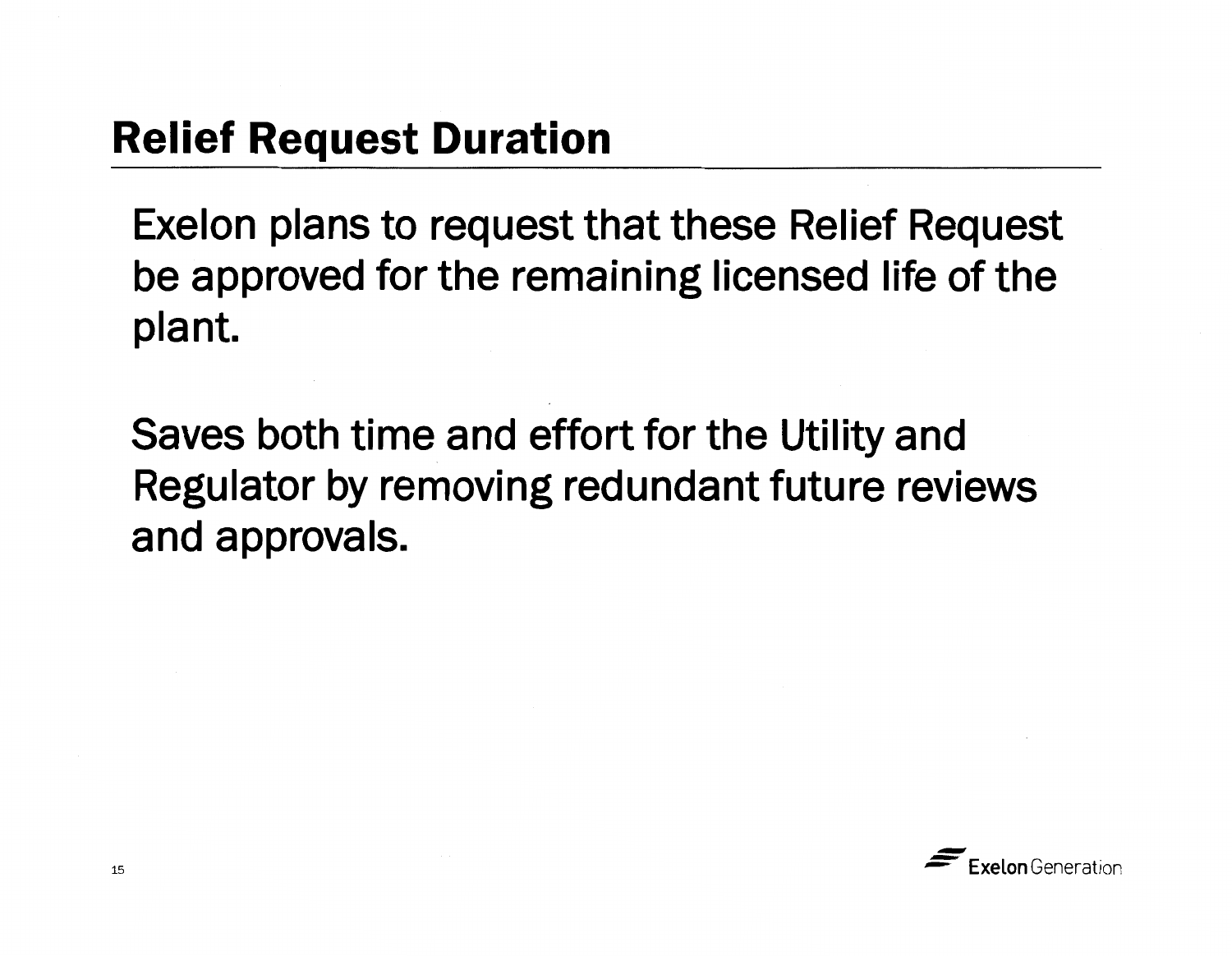## **Relief Request Duration**

Exelon plans to request that these Relief Request be approved for the remaining licensed life of the plant.

Saves both time and effort for the Utility and Regulator by removing redundant future reviews and approvals.

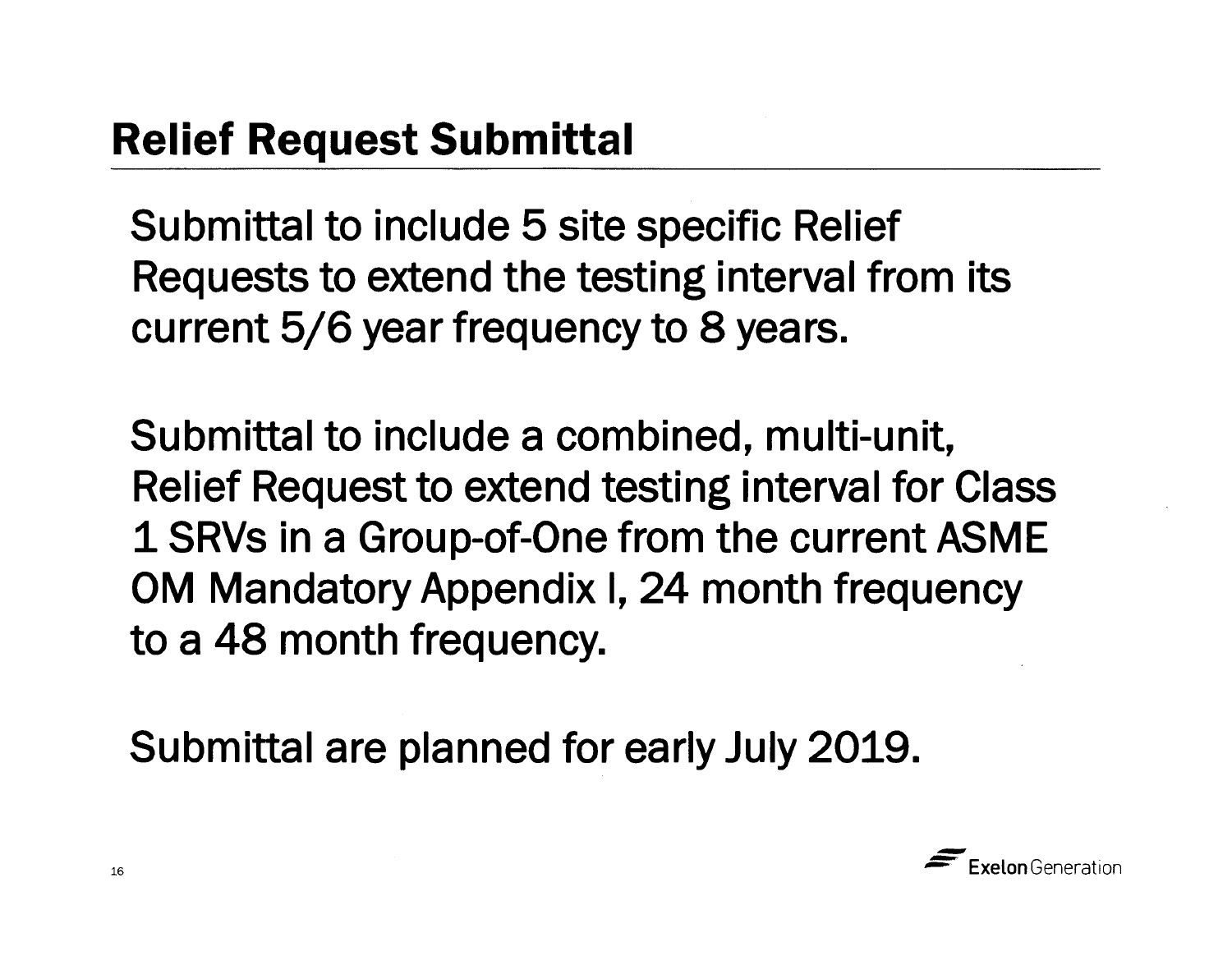Submittal to include 5 site specific Relief Requests to extend the testing interval from its current 5/6 year frequency to 8 years.

Submittal to include a combined, multi-unit, Relief Request to extend testing interval for Class 1 **SRVs** in a Group-of-One from the current **ASME**  OM Mandatory Appendix I, 24 month frequency to a 48 month frequency.

Submittal are planned for early July 2019.

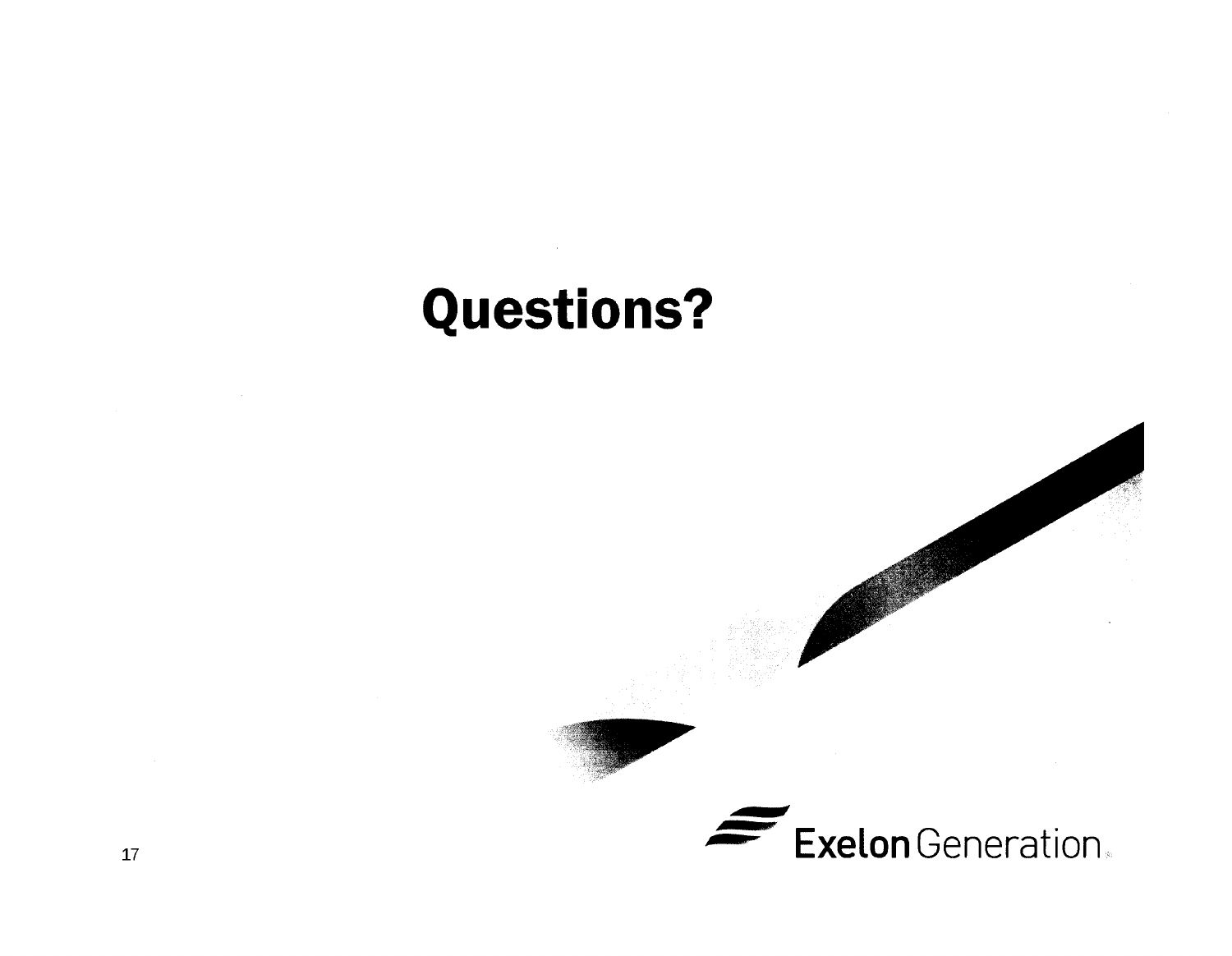# **Questions?**